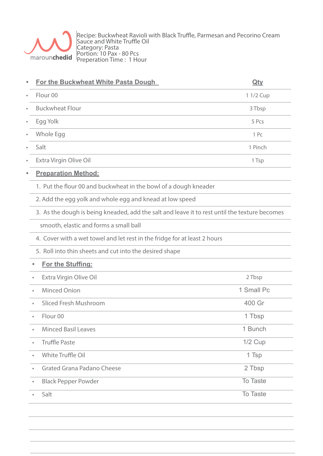

Recipe: Buckwheat Ravioli with Black Truffle, Parmesan and Pecorino Cream Sauce and White Truffle Oil Category: Pasta Portion: 10 Pax - 80 Pcs Preperation Time : 1 Hour

|           | For the Buckwheat White Pasta Dough                                                           | <u>Qty</u> |
|-----------|-----------------------------------------------------------------------------------------------|------------|
|           | Flour <sub>00</sub>                                                                           | 1 1/2 Cup  |
| ė         | <b>Buckwheat Flour</b>                                                                        | 3 Tbsp     |
|           | Egg Yolk                                                                                      | 5 Pcs      |
|           | Whole Egg                                                                                     | 1 Pc       |
|           | Salt                                                                                          | 1 Pinch    |
|           | Extra Virgin Olive Oil                                                                        | 1 Tsp      |
|           | <b>Preparation Method:</b>                                                                    |            |
|           | 1. Put the flour 00 and buckwheat in the bowl of a dough kneader                              |            |
|           | 2. Add the egg yolk and whole egg and knead at low speed                                      |            |
|           | 3. As the dough is being kneaded, add the salt and leave it to rest until the texture becomes |            |
|           | smooth, elastic and forms a small ball                                                        |            |
|           | 4. Cover with a wet towel and let rest in the fridge for at least 2 hours                     |            |
|           | 5. Roll into thin sheets and cut into the desired shape                                       |            |
|           | For the Stuffing:                                                                             |            |
|           | Extra Virgin Olive Oil                                                                        | 2 Tbsp     |
|           | <b>Minced Onion</b>                                                                           | 1 Small Pc |
|           | <b>Sliced Fresh Mushroom</b>                                                                  | 400 Gr     |
| $\bullet$ | Flour <sub>00</sub>                                                                           | 1 Tbsp     |
|           | <b>Minced Basil Leaves</b>                                                                    | 1 Bunch    |
|           | <b>Truffle Paste</b>                                                                          | $1/2$ Cup  |
|           | White Truffle Oil                                                                             | 1 Tsp      |
|           | <b>Grated Grana Padano Cheese</b>                                                             | 2 Tbsp     |
|           | <b>Black Pepper Powder</b>                                                                    | To Taste   |
|           | Salt                                                                                          | To Taste   |
|           |                                                                                               |            |